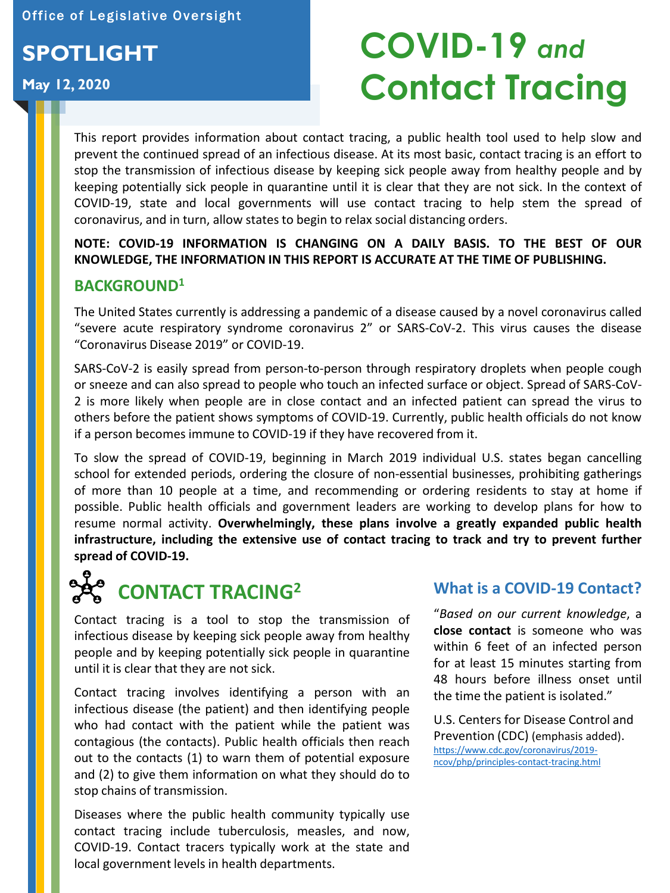Office of Legislative Oversight

## **SPOTLIGHT**

### **May 12, 2020**

# **COVID-19** *and*  **Contact Tracing**

This report provides information about contact tracing, a public health tool used to help slow and prevent the continued spread of an infectious disease. At its most basic, contact tracing is an effort to stop the transmission of infectious disease by keeping sick people away from healthy people and by keeping potentially sick people in quarantine until it is clear that they are not sick. In the context of COVID-19, state and local governments will use contact tracing to help stem the spread of coronavirus, and in turn, allow states to begin to relax social distancing orders.

**NOTE: COVID-19 INFORMATION IS CHANGING ON A DAILY BASIS. TO THE BEST OF OUR KNOWLEDGE, THE INFORMATION IN THIS REPORT IS ACCURATE AT THE TIME OF PUBLISHING.**

### **BACKGROUND<sup>1</sup>**

The United States currently is addressing a pandemic of a disease caused by a novel coronavirus called "severe acute respiratory syndrome coronavirus 2" or SARS-CoV-2. This virus causes the disease "Coronavirus Disease 2019" or COVID-19.

SARS-CoV-2 is easily spread from person-to-person through respiratory droplets when people cough or sneeze and can also spread to people who touch an infected surface or object. Spread of SARS-CoV-2 is more likely when people are in close contact and an infected patient can spread the virus to others before the patient shows symptoms of COVID-19. Currently, public health officials do not know if a person becomes immune to COVID-19 if they have recovered from it.

To slow the spread of COVID-19, beginning in March 2019 individual U.S. states began cancelling school for extended periods, ordering the closure of non-essential businesses, prohibiting gatherings of more than 10 people at a time, and recommending or ordering residents to stay at home if possible. Public health officials and government leaders are working to develop plans for how to resume normal activity. **Overwhelmingly, these plans involve a greatly expanded public health infrastructure, including the extensive use of contact tracing to track and try to prevent further spread of COVID-19.**



Contact tracing is a tool to stop the transmission of infectious disease by keeping sick people away from healthy people and by keeping potentially sick people in quarantine until it is clear that they are not sick.

Contact tracing involves identifying a person with an infectious disease (the patient) and then identifying people who had contact with the patient while the patient was contagious (the contacts). Public health officials then reach out to the contacts (1) to warn them of potential exposure and (2) to give them information on what they should do to stop chains of transmission.

Diseases where the public health community typically use contact tracing include tuberculosis, measles, and now, COVID-19. Contact tracers typically work at the state and local government levels in health departments.

### **What is a COVID-19 Contact?**

"*Based on our current knowledge*, a **close contact** is someone who was within 6 feet of an infected person for at least 15 minutes starting from 48 hours before illness onset until the time the patient is isolated."

U.S. Centers for Disease Control and Prevention (CDC) (emphasis added). [https://www.cdc.gov/coronavirus/2019](https://www.cdc.gov/coronavirus/2019-ncov/php/principles-contact-tracing.html) ncov/php/principles-contact-tracing.html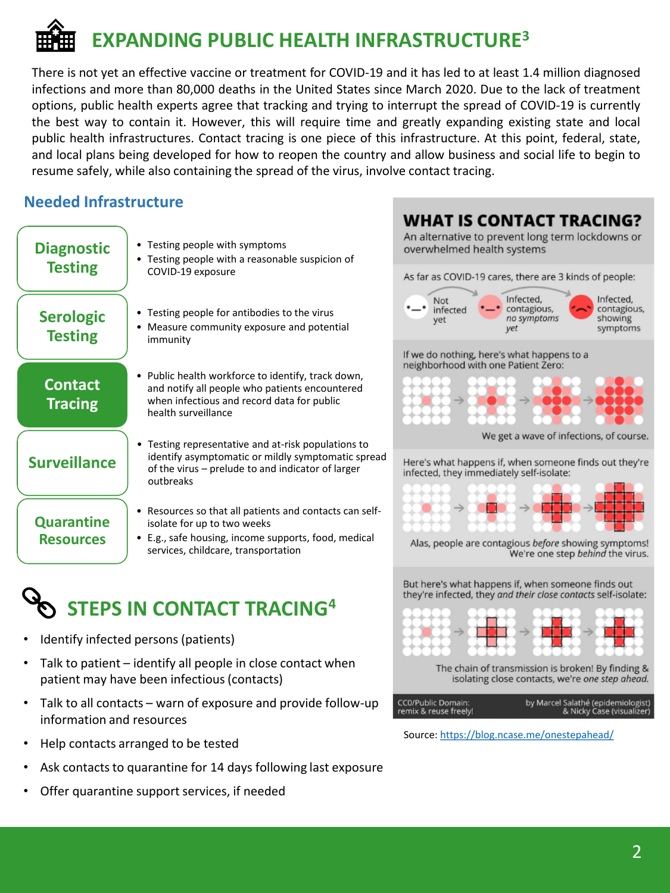# **EXPANDING PUBLIC HEALTH INFRASTRUCTURE<sup>3</sup>**

There is not yet an effective vaccine or treatment for COVID-19 and it has led to at least 1.4 million diagnosed infections and more than 80,000 deaths in the United States since March 2020. Due to the lack of treatment options, public health experts agree that tracking and trying to interrupt the spread of COVID-19 is currently the best way to contain it. However, this will require time and greatly expanding existing state and local public health infrastructures. Contact tracing is one piece of this infrastructure. At this point, federal, state, and local plans being developed for how to reopen the country and allow business and social life to begin to resume safely, while also containing the spread of the virus, involve contact tracing.

### **Needed Infrastructure**

| <b>Diagnostic</b><br><b>Testing</b>   | • Testing people with symptoms<br>• Testing people with a reasonable suspicion of<br>COVID-19 exposure                                                                              |
|---------------------------------------|-------------------------------------------------------------------------------------------------------------------------------------------------------------------------------------|
| <b>Serologic</b><br><b>Testing</b>    | • Testing people for antibodies to the virus<br>Measure community exposure and potential<br>immunity                                                                                |
| <b>Contact</b><br><b>Tracing</b>      | • Public health workforce to identify, track down,<br>and notify all people who patients encountered<br>when infectious and record data for public<br>health surveillance           |
| <b>Surveillance</b>                   | Testing representative and at-risk populations to<br>identify asymptomatic or mildly symptomatic spread<br>of the virus – prelude to and indicator of larger<br>outbreaks           |
| <b>Quarantine</b><br><b>Resources</b> | Resources so that all patients and contacts can self-<br>isolate for up to two weeks<br>• E.g., safe housing, income supports, food, medical<br>services, childcare, transportation |

## **STEPS IN CONTACT TRACING<sup>4</sup>**

- Identify infected persons (patients)
- Talk to patient identify all people in close contact when patient may have been infectious (contacts)
- Talk to all contacts warn of exposure and provide follow-up information and resources
- Help contacts arranged to be tested
- Ask contacts to quarantine for 14 days following last exposure
- Offer quarantine support services, if needed



Source: <https://blog.ncase.me/onestepahead/>

CC0/Public Domain: remix & reuse freely! by Marcel Salathé (epidemiologist)<br>(Nicky Case (visualizer &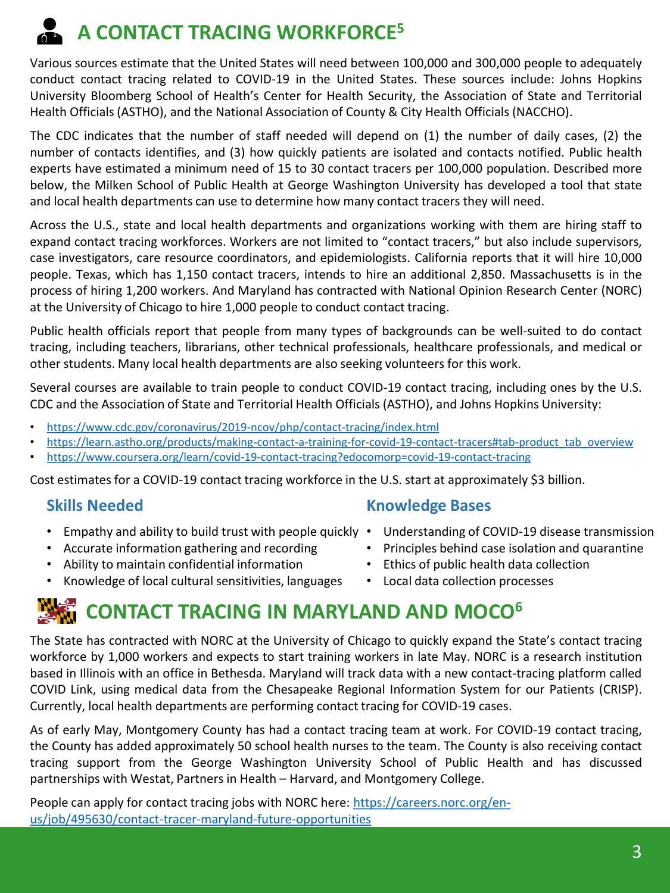# **A CONTACT TRACING WORKFORCE<sup>5</sup>**

Various sources estimate that the United States will need between 100,000 and 300,000 people to adequately conduct contact tracing related to COVID-19 in the United States. These sources include: Johns Hopkins University Bloomberg School of Health's Center for Health Security, the Association of State and Territorial Health Officials(ASTHO), and the National Association of County & City Health Officials (NACCHO).

The CDC indicates that the number of staff needed will depend on (1) the number of daily cases, (2) the number of contacts identifies, and (3) how quickly patients are isolated and contacts notified. Public health experts have estimated a minimum need of 15 to 30 contact tracers per 100,000 population. Described more below, the Milken School of Public Health at George Washington University has developed a tool that state and local health departments can use to determine how many contact tracers they will need.

Across the U.S., state and local health departments and organizations working with them are hiring staff to expand contact tracing workforces. Workers are not limited to "contact tracers," but also include supervisors, case investigators, care resource coordinators, and epidemiologists. California reports that it will hire 10,000 people. Texas, which has 1,150 contact tracers, intends to hire an additional 2,850. Massachusetts is in the process of hiring 1,200 workers. And Maryland has contracted with National Opinion Research Center (NORC) at the University of Chicago to hire 1,000 people to conduct contact tracing.

Public health officials report that people from many types of backgrounds can be well-suited to do contact tracing, including teachers, librarians, other technical professionals, healthcare professionals, and medical or other students. Many local health departments are also seeking volunteers for this work.

Several courses are available to train people to conduct COVID-19 contact tracing, including ones by the U.S. CDC and the Association of State and Territorial Health Officials (ASTHO), and Johns Hopkins University:

- <https://www.cdc.gov/coronavirus/2019-ncov/php/contact-tracing/index.html>
- [https://learn.astho.org/products/making-contact-a-training-for-covid-19-contact-tracers#tab-product\\_tab\\_overview](https://learn.astho.org/products/making-contact-a-training-for-covid-19-contact-tracers#tab-product_tab_overview)
- <https://www.coursera.org/learn/covid-19-contact-tracing?edocomorp=covid-19-contact-tracing>

Cost estimates for a COVID-19 contact tracing workforce in the U.S. start at approximately \$3 billion.

### **Skills Needed**

- Empathy and ability to build trust with people quickly Understanding of COVID-19 disease transmission
- Accurate information gathering and recording
- Ability to maintain confidential information
- Knowledge of local cultural sensitivities, languages

### **Knowledge Bases**

- 
- Principles behind case isolation and quarantine
- Ethics of public health data collection
- Local data collection processes

## **CONTACT TRACING IN MARYLAND AND MOCO<sup>6</sup>**

The State has contracted with NORC at the University of Chicago to quickly expand the State's contact tracing workforce by 1,000 workers and expects to start training workers in late May. NORC is a research institution based in Illinois with an office in Bethesda. Maryland will track data with a new contact-tracing platform called COVID Link, using medical data from the Chesapeake Regional Information System for our Patients (CRISP). Currently, local health departments are performing contact tracing for COVID-19 cases.

As of early May, Montgomery County has had a contact tracing team at work. For COVID-19 contact tracing, the County has added approximately 50 school health nurses to the team. The County is also receiving contact tracing support from the George Washington University School of Public Health and has discussed partnerships with Westat, Partners in Health – Harvard, and Montgomery College.

[People can apply for contact tracing jobs with NORC here: https://careers.norc.org/en](https://careers.norc.org/en-us/job/495630/contact-tracer-maryland-future-opportunities)us/job/495630/contact-tracer-maryland-future-opportunities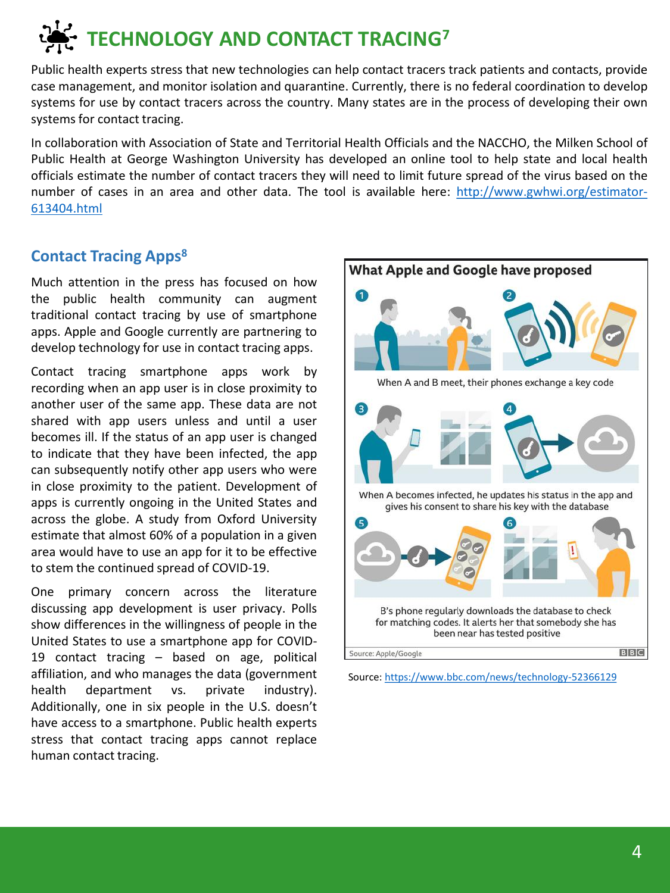# **TECHNOLOGY AND CONTACT TRACING<sup>7</sup>**

Public health experts stress that new technologies can help contact tracers track patients and contacts, provide case management, and monitor isolation and quarantine. Currently, there is no federal coordination to develop systems for use by contact tracers across the country. Many states are in the process of developing their own systems for contact tracing.

In collaboration with Association of State and Territorial Health Officials and the NACCHO, the Milken School of Public Health at George Washington University has developed an online tool to help state and local health officials estimate the number of contact tracers they will need to limit future spread of the virus based on the number of cases in an area and other data. The tool is available here: [http://www.gwhwi.org/estimator-](http://www.gwhwi.org/estimator-613404.html)613404.html

### **Contact Tracing Apps<sup>8</sup>**

Much attention in the press has focused on how the public health community can augment traditional contact tracing by use of smartphone apps. Apple and Google currently are partnering to develop technology for use in contact tracing apps.

Contact tracing smartphone apps work by recording when an app user is in close proximity to another user of the same app. These data are not shared with app users unless and until a user becomes ill. If the status of an app user is changed to indicate that they have been infected, the app can subsequently notify other app users who were in close proximity to the patient. Development of apps is currently ongoing in the United States and across the globe. A study from Oxford University estimate that almost 60% of a population in a given area would have to use an app for it to be effective to stem the continued spread of COVID-19.

One primary concern across the literature discussing app development is user privacy. Polls show differences in the willingness of people in the United States to use a smartphone app for COVID-19 contact tracing – based on age, political affiliation, and who manages the data (government health department vs. private industry). Additionally, one in six people in the U.S. doesn't have access to a smartphone. Public health experts stress that contact tracing apps cannot replace human contact tracing.



Source:<https://www.bbc.com/news/technology-52366129>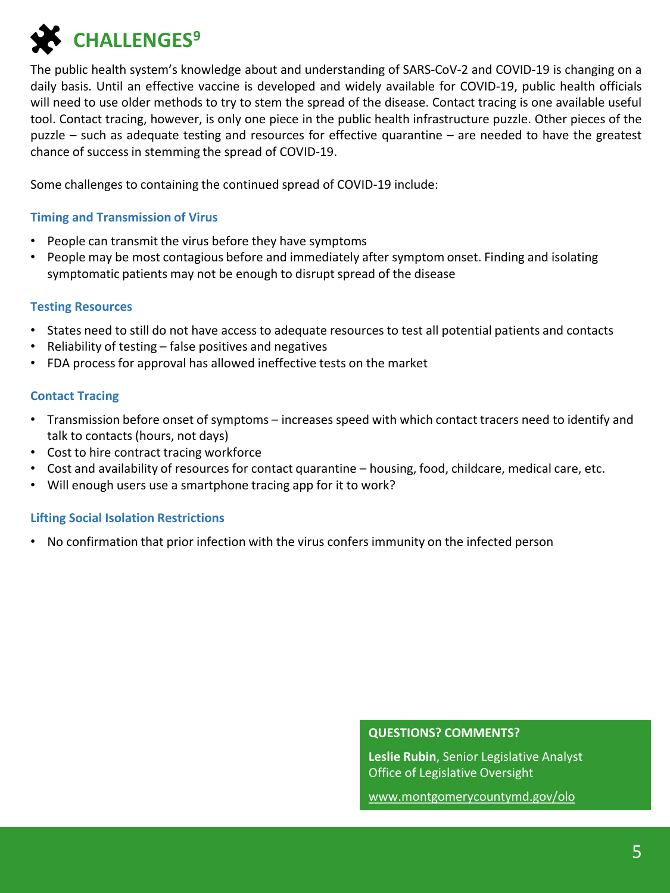**CHALLENGES<sup>9</sup>**

The public health system's knowledge about and understanding of SARS-CoV-2 and COVID-19 is changing on a daily basis. Until an effective vaccine is developed and widely available for COVID-19, public health officials will need to use older methods to try to stem the spread of the disease. Contact tracing is one available useful tool. Contact tracing, however, is only one piece in the public health infrastructure puzzle. Other pieces of the puzzle – such as adequate testing and resources for effective quarantine – are needed to have the greatest chance of success in stemming the spread of COVID-19.

Some challenges to containing the continued spread of COVID-19 include:

#### **Timing and Transmission of Virus**

- People can transmit the virus before they have symptoms
- People may be most contagious before and immediately after symptom onset. Finding and isolating symptomatic patients may not be enough to disrupt spread of the disease

#### **Testing Resources**

- States need to still do not have access to adequate resources to test all potential patients and contacts
- Reliability of testing false positives and negatives
- FDA process for approval has allowed ineffective tests on the market

#### **Contact Tracing**

- Transmission before onset of symptoms increases speed with which contact tracers need to identify and talk to contacts (hours, not days)
- Cost to hire contract tracing workforce
- Cost and availability of resources for contact quarantine housing, food, childcare, medical care, etc.
- Will enough users use a smartphone tracing app for it to work?

### **Lifting Social Isolation Restrictions**

• No confirmation that prior infection with the virus confers immunity on the infected person

#### **QUESTIONS? COMMENTS?**

**Leslie Rubin**, Senior Legislative Analyst Office of Legislative Oversight

[www.montgomerycountymd.gov/olo](http://www.montgomerycountymd.gov/olo)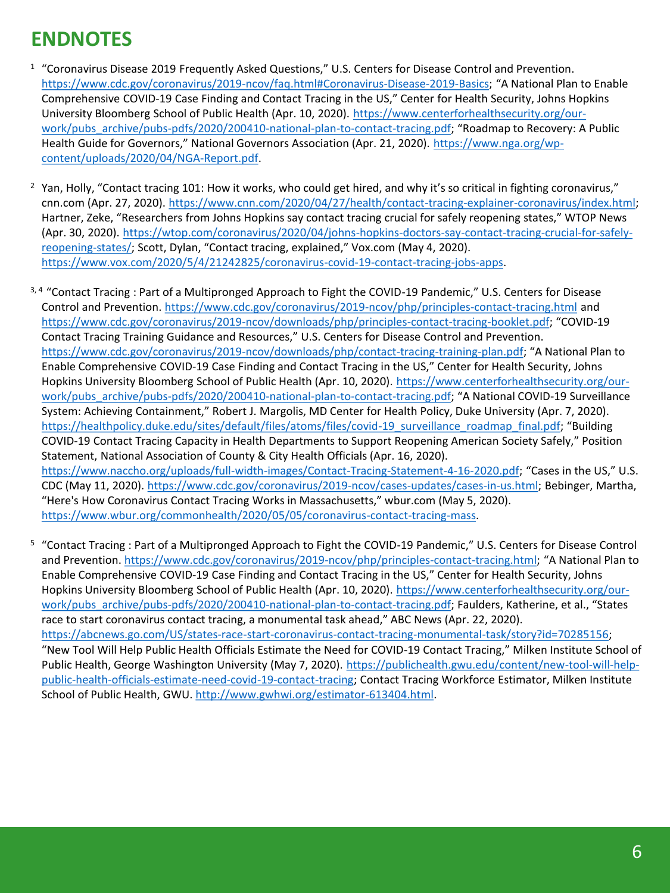## **ENDNOTES**

- <sup>1</sup> "Coronavirus Disease 2019 Frequently Asked Questions," U.S. Centers for Disease Control and Prevention. <https://www.cdc.gov/coronavirus/2019-ncov/faq.html#Coronavirus-Disease-2019-Basics>; "A National Plan to Enable Comprehensive COVID-19 Case Finding and Contact Tracing in the US," Center for Health Security, Johns Hopkins [University Bloomberg School of Public Health \(Apr. 10, 2020\). https://www.centerforhealthsecurity.org/our](https://www.centerforhealthsecurity.org/our-work/pubs_archive/pubs-pdfs/2020/200410-national-plan-to-contact-tracing.pdf)work/pubs\_archive/pubs-pdfs/2020/200410-national-plan-to-contact-tracing.pdf; "Roadmap to Recovery: A Public [Health Guide for Governors," National Governors Association \(Apr. 21, 2020\).](https://www.nga.org/wp-content/uploads/2020/04/NGA-Report.pdf) https://www.nga.org/wpcontent/uploads/2020/04/NGA-Report.pdf.
- <sup>2</sup> Yan, Holly, "Contact tracing 101: How it works, who could get hired, and why it's so critical in fighting coronavirus," cnn.com (Apr. 27, 2020). <https://www.cnn.com/2020/04/27/health/contact-tracing-explainer-coronavirus/index.html>; Hartner, Zeke, "Researchers from Johns Hopkins say contact tracing crucial for safely reopening states," WTOP News [\(Apr. 30, 2020\). https://wtop.com/coronavirus/2020/04/johns-hopkins-doctors-say-contact-tracing-crucial-for-safely](https://wtop.com/coronavirus/2020/04/johns-hopkins-doctors-say-contact-tracing-crucial-for-safely-reopening-states/)reopening-states/; Scott, Dylan, "Contact tracing, explained," Vox.com (May 4, 2020). [https://www.vox.com/2020/5/4/21242825/coronavirus-covid-19-contact-tracing-jobs-apps.](https://www.vox.com/2020/5/4/21242825/coronavirus-covid-19-contact-tracing-jobs-apps)
- 3, 4 "Contact Tracing : Part of a Multipronged Approach to Fight the COVID-19 Pandemic," U.S. Centers for Disease Control and Prevention. <https://www.cdc.gov/coronavirus/2019-ncov/php/principles-contact-tracing.html> and <https://www.cdc.gov/coronavirus/2019-ncov/downloads/php/principles-contact-tracing-booklet.pdf>; "COVID-19 Contact Tracing Training Guidance and Resources," U.S. Centers for Disease Control and Prevention. <https://www.cdc.gov/coronavirus/2019-ncov/downloads/php/contact-tracing-training-plan.pdf>; "A National Plan to Enable Comprehensive COVID-19 Case Finding and Contact Tracing in the US," Center for Health Security, Johns [Hopkins University Bloomberg School of Public Health \(Apr. 10, 2020\). https://www.centerforhealthsecurity.org/our](https://www.centerforhealthsecurity.org/our-work/pubs_archive/pubs-pdfs/2020/200410-national-plan-to-contact-tracing.pdf)work/pubs\_archive/pubs-pdfs/2020/200410-national-plan-to-contact-tracing.pdf; "A National COVID-19 Surveillance System: Achieving Containment," Robert J. Margolis, MD Center for Health Policy, Duke University (Apr. 7, 2020). [https://healthpolicy.duke.edu/sites/default/files/atoms/files/covid-19\\_surveillance\\_roadmap\\_final.pdf](https://healthpolicy.duke.edu/sites/default/files/atoms/files/covid-19_surveillance_roadmap_final.pdf); "Building COVID-19 Contact Tracing Capacity in Health Departments to Support Reopening American Society Safely," Position Statement, National Association of County & City Health Officials (Apr. 16, 2020). <https://www.naccho.org/uploads/full-width-images/Contact-Tracing-Statement-4-16-2020.pdf>; "Cases in the US," U.S. CDC (May 11, 2020). [https://www.cdc.gov/coronavirus/2019-ncov/cases-updates/cases-in-us.html;](https://www.cdc.gov/coronavirus/2019-ncov/cases-updates/cases-in-us.html) Bebinger, Martha, "Here's How Coronavirus Contact Tracing Works in Massachusetts," wbur.com (May 5, 2020). [https://www.wbur.org/commonhealth/2020/05/05/coronavirus-contact-tracing-mass.](https://www.wbur.org/commonhealth/2020/05/05/coronavirus-contact-tracing-mass)
- <sup>5</sup>"Contact Tracing : Part of a Multipronged Approach to Fight the COVID-19 Pandemic," U.S. Centers for Disease Control and Prevention.<https://www.cdc.gov/coronavirus/2019-ncov/php/principles-contact-tracing.html>; "A National Plan to Enable Comprehensive COVID-19 Case Finding and Contact Tracing in the US," Center for Health Security, Johns [Hopkins University Bloomberg School of Public Health \(Apr. 10, 2020\). https://www.centerforhealthsecurity.org/our](https://www.centerforhealthsecurity.org/our-work/pubs_archive/pubs-pdfs/2020/200410-national-plan-to-contact-tracing.pdf)work/pubs\_archive/pubs-pdfs/2020/200410-national-plan-to-contact-tracing.pdf; Faulders, Katherine, et al., "States race to start coronavirus contact tracing, a monumental task ahead," ABC News (Apr. 22, 2020). [https://abcnews.go.com/US/states-race-start-coronavirus-contact-tracing-monumental-task/story?id=70285156;](https://abcnews.go.com/US/states-race-start-coronavirus-contact-tracing-monumental-task/story?id=70285156) "New Tool Will Help Public Health Officials Estimate the Need for COVID-19 Contact Tracing," Milken Institute School of [Public Health, George Washington University \(May 7, 2020\). https://publichealth.gwu.edu/content/new-tool-will-help](https://publichealth.gwu.edu/content/new-tool-will-help-public-health-officials-estimate-need-covid-19-contact-tracing%20Accessed%205/7/20)public-health-officials-estimate-need-covid-19-contact-tracing; Contact Tracing Workforce Estimator, Milken Institute School of Public Health, GWU. [http://www.gwhwi.org/estimator-613404.html.](http://www.gwhwi.org/estimator-613404.html)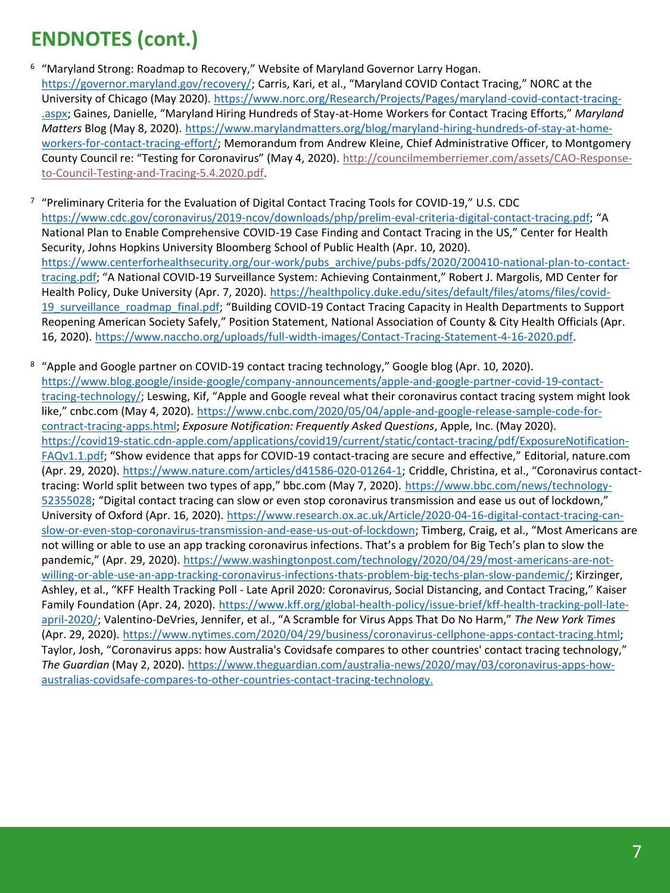## **ENDNOTES (cont.)**

- <sup>6</sup> "Maryland Strong: Roadmap to Recovery," Website of Maryland Governor Larry Hogan. [https://governor.maryland.gov/recovery/;](https://governor.maryland.gov/recovery/) Carris, Kari, et al., "Maryland COVID Contact Tracing," NORC at the [University of Chicago \(May 2020\). https://www.norc.org/Research/Projects/Pages/maryland-covid-contact-tracing-](https://www.norc.org/Research/Projects/Pages/maryland-covid-contact-tracing-.aspx) .aspx; Gaines, Danielle, "Maryland Hiring Hundreds of Stay-at-Home Workers for Contact Tracing Efforts," *Maryland Matters* Blog (May 8, 2020). https://www.marylandmatters.org/blog/maryland-hiring-hundreds-of-stay-at-home[workers-for-contact-tracing-effort/; Memorandum from Andrew Kleine, Chief Administrative Officer, to Montgom](https://www.marylandmatters.org/blog/maryland-hiring-hundreds-of-stay-at-home-workers-for-contact-tracing-effort/)ery [County Council re: "Testing for Coronavirus" \(May 4, 2020\).](http://councilmemberriemer.com/assets/CAO-Response-to-Council-Testing-and-Tracing-5.4.2020.pdf) http://councilmemberriemer.com/assets/CAO-Responseto-Council-Testing-and-Tracing-5.4.2020.pdf.
- <sup>7</sup> "Preliminary Criteria for the Evaluation of Digital Contact Tracing Tools for COVID-19," U.S. CDC <https://www.cdc.gov/coronavirus/2019-ncov/downloads/php/prelim-eval-criteria-digital-contact-tracing.pdf>; "A National Plan to Enable Comprehensive COVID-19 Case Finding and Contact Tracing in the US," Center for Health Security, Johns Hopkins University Bloomberg School of Public Health (Apr. 10, 2020). [https://www.centerforhealthsecurity.org/our-work/pubs\\_archive/pubs-pdfs/2020/200410-national-plan-to-contact](https://www.centerforhealthsecurity.org/our-work/pubs_archive/pubs-pdfs/2020/200410-national-plan-to-contact-tracing.pdf)tracing.pdf; "A National COVID-19 Surveillance System: Achieving Containment," Robert J. Margolis, MD Center for [Health Policy, Duke University \(Apr. 7, 2020\). https://healthpolicy.duke.edu/sites/default/files/atoms/files/covid-](https://healthpolicy.duke.edu/sites/default/files/atoms/files/covid-19_surveillance_roadmap_final.pdf)19\_surveillance\_roadmap\_final.pdf; "Building COVID-19 Contact Tracing Capacity in Health Departments to Support Reopening American Society Safely," Position Statement, National Association of County & City Health Officials (Apr. 16, 2020). [https://www.naccho.org/uploads/full-width-images/Contact-Tracing-Statement-4-16-2020.pdf.](https://www.naccho.org/uploads/full-width-images/Contact-Tracing-Statement-4-16-2020.pdf)
- <sup>8</sup> "Apple and Google partner on COVID-19 contact tracing technology," Google blog (Apr. 10, 2020). [https://www.blog.google/inside-google/company-announcements/apple-and-google-partner-covid-19-contact](https://www.blog.google/inside-google/company-announcements/apple-and-google-partner-covid-19-contact-tracing-technology/)tracing-technology/; Leswing, Kif, "Apple and Google reveal what their coronavirus contact tracing system might look like," cnbc.com (May 4, 2020). [https://www.cnbc.com/2020/05/04/apple-and-google-release-sample-code-for](https://www.cnbc.com/2020/05/04/apple-and-google-release-sample-code-for-contract-tracing-apps.html)contract-tracing-apps.html; *Exposure Notification: Frequently Asked Questions*, Apple, Inc. (May 2020). [https://covid19-static.cdn-apple.com/applications/covid19/current/static/contact-tracing/pdf/ExposureNotification-](https://covid19-static.cdn-apple.com/applications/covid19/current/static/contact-tracing/pdf/ExposureNotification-FAQv1.1.pdf)FAQv1.1.pdf; "Show evidence that apps for COVID-19 contact-tracing are secure and effective," Editorial, nature.com (Apr. 29, 2020). <https://www.nature.com/articles/d41586-020-01264-1>; Criddle, Christina, et al., "Coronavirus contacttracing: World split between two types of app," bbc.com (May 7, 2020). https://www.bbc.com/news/technology-52355028[; "Digital contact tracing can slow or even stop coronavirus transmission and ease us out of lockdown,"](https://www.bbc.com/news/technology-52355028)  [University of Oxford \(Apr. 16, 2020\). https://www.research.ox.ac.uk/Article/2020-04-16-digital-contact-tracing-can](https://www.research.ox.ac.uk/Article/2020-04-16-digital-contact-tracing-can-slow-or-even-stop-coronavirus-transmission-and-ease-us-out-of-lockdown)slow-or-even-stop-coronavirus-transmission-and-ease-us-out-of-lockdown; Timberg, Craig, et al., "Most Americans are not willing or able to use an app tracking coronavirus infections. That's a problem for Big Tech's plan to slow the pandemic," (Apr. 29, 2020). https://www.washingtonpost.com/technology/2020/04/29/most-americans-are-not[willing-or-able-use-an-app-tracking-coronavirus-infections-thats-problem-big-techs-plan-slow-pandemic/; Kirzinge](https://www.washingtonpost.com/technology/2020/04/29/most-americans-are-not-willing-or-able-use-an-app-tracking-coronavirus-infections-thats-problem-big-techs-plan-slow-pandemic/)r, Ashley, et al., "KFF Health Tracking Poll - Late April 2020: Coronavirus, Social Distancing, and Contact Tracing," Kaiser [Family Foundation \(Apr. 24, 2020\). https://www.kff.org/global-health-policy/issue-brief/kff-health-tracking-poll-late](https://www.kff.org/global-health-policy/issue-brief/kff-health-tracking-poll-late-april-2020/)april-2020/; Valentino-DeVries, Jennifer, et al., "A Scramble for Virus Apps That Do No Harm," *The New York Times* (Apr. 29, 2020). [https://www.nytimes.com/2020/04/29/business/coronavirus-cellphone-apps-contact-tracing.html;](https://www.nytimes.com/2020/04/29/business/coronavirus-cellphone-apps-contact-tracing.html) Taylor, Josh, "Coronavirus apps: how Australia's Covidsafe compares to other countries' contact tracing technology," *The Guardian* [\(May 2, 2020\). https://www.theguardian.com/australia-news/2020/may/03/coronavirus-apps-how](https://www.theguardian.com/australia-news/2020/may/03/coronavirus-apps-how-australias-covidsafe-compares-to-other-countries-contact-tracing-technology%20Accessed%205/7/20)australias-covidsafe-compares-to-other-countries-contact-tracing-technology.